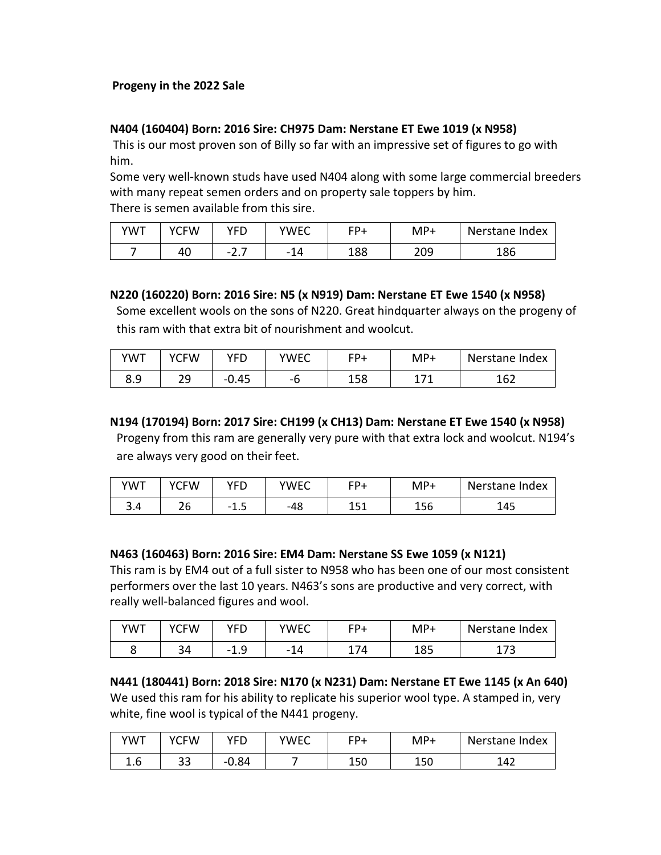## **Progeny in the 2022 Sale**

#### **N404 (160404) Born: 2016 Sire: CH975 Dam: Nerstane ET Ewe 1019 (x N958)**

This is our most proven son of Billy so far with an impressive set of figures to go with him.

Some very well-known studs have used N404 along with some large commercial breeders with many repeat semen orders and on property sale toppers by him. There is semen available from this sire.

| YWT | <b>YCFW</b> | VFN                  | YWEC | ⊏D+ | MP+ | Nerstane Index |
|-----|-------------|----------------------|------|-----|-----|----------------|
|     | 40          | -<br>- -<br><u>.</u> |      | 188 | 209 | 186            |

## **N220 (160220) Born: 2016 Sire: N5 (x N919) Dam: Nerstane ET Ewe 1540 (x N958)**

Some excellent wools on the sons of N220. Great hindquarter always on the progeny of this ram with that extra bit of nourishment and woolcut.

| YWT | YCFW     | YFD     | YWEC | FD+ | MP+ | Nerstane Index |
|-----|----------|---------|------|-----|-----|----------------|
| 8.9 | ാവ<br>رے | $-0.45$ | – r  | 158 | 171 | 162            |

**N194 (170194) Born: 2017 Sire: CH199 (x CH13) Dam: Nerstane ET Ewe 1540 (x N958)**

Progeny from this ram are generally very pure with that extra lock and woolcut. N194's are always very good on their feet.

| <b>YWT</b> | <b>YCFW</b> | YFD  | YWEC | $FD+$      | $MP+$ | Nerstane Index |
|------------|-------------|------|------|------------|-------|----------------|
| 3.4        | 26          | -1.5 | -48  | 151<br>ᆂᆚᆂ | 156   | 145            |

**N463 (160463) Born: 2016 Sire: EM4 Dam: Nerstane SS Ewe 1059 (x N121)**

This ram is by EM4 out of a full sister to N958 who has been one of our most consistent performers over the last 10 years. N463's sons are productive and very correct, with really well-balanced figures and wool.

| <b>YWT</b> | <b>YCFW</b> | <b>VED</b> | YWEC                                         | $E_{\text{p}}$ | MP+ | Nerstane Index |
|------------|-------------|------------|----------------------------------------------|----------------|-----|----------------|
|            | 34          | Ω<br>ு⊥.⊳  | 11<br>$\overline{\phantom{0}}$<br><u>ы д</u> | 74             | 185 | $\neg$<br>17 J |

**N441 (180441) Born: 2018 Sire: N170 (x N231) Dam: Nerstane ET Ewe 1145 (x An 640)**  We used this ram for his ability to replicate his superior wool type. A stamped in, very white, fine wool is typical of the N441 progeny.

| <b>YWT</b>        | YCFW     | YFD     | YWEC | $FD+$ | MP+ | Nerstane Index |
|-------------------|----------|---------|------|-------|-----|----------------|
| $\sqrt{2}$<br>1.b | າາ<br>၁၁ | $-0.84$ |      | 150   | 150 | 142            |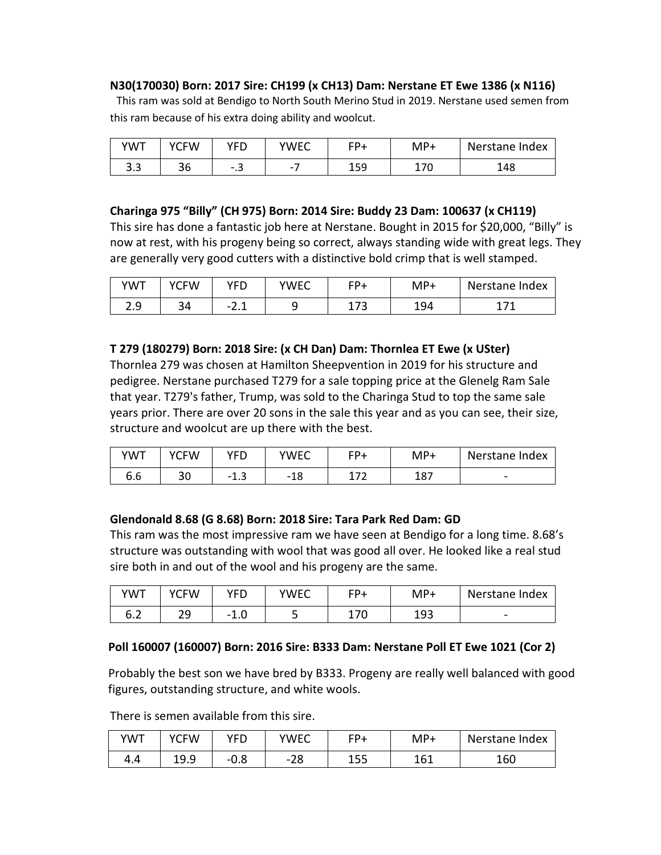## **N30(170030) Born: 2017 Sire: CH199 (x CH13) Dam: Nerstane ET Ewe 1386 (x N116)**

This ram was sold at Bendigo to North South Merino Stud in 2019. Nerstane used semen from this ram because of his extra doing ability and woolcut.

| YWT      | YCFW      | YFD                          | YWEC | ⊏D⊥ | MP+             | Nerstane Index |
|----------|-----------|------------------------------|------|-----|-----------------|----------------|
| ົ<br>د.د | n c<br>36 | $\overline{\phantom{0}}$<br> | -    | 159 | ィーへ<br>u<br>. . | 148            |

## **Charinga 975 "Billy" (CH 975) Born: 2014 Sire: Buddy 23 Dam: 100637 (x CH119)**

This sire has done a fantastic job here at Nerstane. Bought in 2015 for \$20,000, "Billy" is now at rest, with his progeny being so correct, always standing wide with great legs. They are generally very good cutters with a distinctive bold crimp that is well stamped.

| YWT        | <b>YCFW</b> | YFD  | YWEC | EPL           | MP+ | Nerstane Index |
|------------|-------------|------|------|---------------|-----|----------------|
| າ ດ<br>د.ء | 34          | -2.± |      | 172<br>- 71 J | 194 |                |

## **T 279 (180279) Born: 2018 Sire: (x CH Dan) Dam: Thornlea ET Ewe (x USter)**

Thornlea 279 was chosen at Hamilton Sheepvention in 2019 for his structure and pedigree. Nerstane purchased T279 for a sale topping price at the Glenelg Ram Sale that year. T279's father, Trump, was sold to the Charinga Stud to top the same sale years prior. There are over 20 sons in the sale this year and as you can see, their size, structure and woolcut are up there with the best.

| <b>YWT</b>         | <b>YCFW</b> | YFD                              | YWEC | ⊏D+                      | $MP+$ | Nerstane Index           |
|--------------------|-------------|----------------------------------|------|--------------------------|-------|--------------------------|
| <u>. . </u><br>o.o | າດ<br>Jυ    | $\overline{\phantom{a}}$<br>ن.⊥⊤ | -19  | $\overline{\phantom{a}}$ | 187   | $\overline{\phantom{0}}$ |

# **Glendonald 8.68 (G 8.68) Born: 2018 Sire: Tara Park Red Dam: GD**

This ram was the most impressive ram we have seen at Bendigo for a long time. 8.68's structure was outstanding with wool that was good all over. He looked like a real stud sire both in and out of the wool and his progeny are the same.

| YWT        | YCFW     | YFD  | <b>YWEC</b> | <b>FD+</b> | MP+ | Nerstane Index |
|------------|----------|------|-------------|------------|-----|----------------|
| ~ ^<br>∪.∠ | ാവ<br>رے | -1.U |             | 70<br>⊥7∪  | 193 | -              |

# **Poll 160007 (160007) Born: 2016 Sire: B333 Dam: Nerstane Poll ET Ewe 1021 (Cor 2)**

Probably the best son we have bred by B333. Progeny are really well balanced with good figures, outstanding structure, and white wools.

There is semen available from this sire.

| YWT | <b>YCFW</b> | YFD  | YWEC      | $CP+$       | MP+ | Nerstane Index |
|-----|-------------|------|-----------|-------------|-----|----------------|
| 4.4 | 19.9        | -v.o | ിറ<br>-20 | 1 にに<br>⊥JJ | 161 | 160            |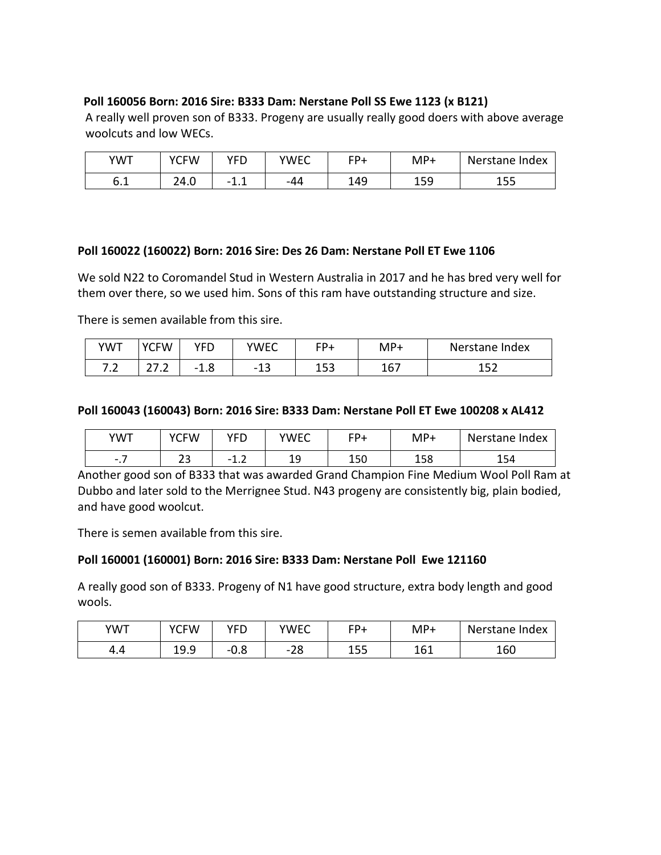## **Poll 160056 Born: 2016 Sire: B333 Dam: Nerstane Poll SS Ewe 1123 (x B121)**

A really well proven son of B333. Progeny are usually really good doers with above average woolcuts and low WECs.

| <b>YWT</b> | <b>YCFW</b> | YFD      | YWEC | $FD+$ | MP+ | Nerstane Index |
|------------|-------------|----------|------|-------|-----|----------------|
| ៝៓<br>0. L | 24.0        | - 1<br>. | -44  | 149   | 159 | ᅩᇰ             |

## **Poll 160022 (160022) Born: 2016 Sire: Des 26 Dam: Nerstane Poll ET Ewe 1106**

We sold N22 to Coromandel Stud in Western Australia in 2017 and he has bred very well for them over there, so we used him. Sons of this ram have outstanding structure and size.

There is semen available from this sire.

| YWT                   | YCFW                            | YFD  | YWEC                 | FP+        | MP+ | Nerstane Index         |
|-----------------------|---------------------------------|------|----------------------|------------|-----|------------------------|
| ¬ ¬<br>$\cdot$ $\sim$ | $\sim$ $\sim$<br><u>_ , . _</u> | -1.0 | $\sim$<br>- 13<br>ᅩJ | 152<br>∸JJ | 167 | 15 <sup>2</sup><br>ᆂᆚᄼ |

## **Poll 160043 (160043) Born: 2016 Sire: B333 Dam: Nerstane Poll ET Ewe 100208 x AL412**

| <b>YWT</b>                           | <b>YCFW</b> | YFD                                        | <b>YWEC</b> | <b>CD+</b> | $MP+$ | Nerstane Index |
|--------------------------------------|-------------|--------------------------------------------|-------------|------------|-------|----------------|
| -<br>$\overline{\phantom{0}}$<br>۰., | ີ<br>ت      | $\overline{\phantom{a}}$<br>- 1<br><b></b> | --          | 150        | 158   | 154            |

Another good son of B333 that was awarded Grand Champion Fine Medium Wool Poll Ram at Dubbo and later sold to the Merrignee Stud. N43 progeny are consistently big, plain bodied, and have good woolcut.

There is semen available from this sire.

# **Poll 160001 (160001) Born: 2016 Sire: B333 Dam: Nerstane Poll Ewe 121160**

A really good son of B333. Progeny of N1 have good structure, extra body length and good wools.

| <b>YWT</b> | <b>YCFW</b> | <b>YFF</b> | YWEC      | $FP+$     | MP+ | Nerstane Index |
|------------|-------------|------------|-----------|-----------|-----|----------------|
| 4.4        | ہ ∩         | റ<br>-v.o  | າ໑<br>ە∠- | 155<br>∸J | 161 | 160            |